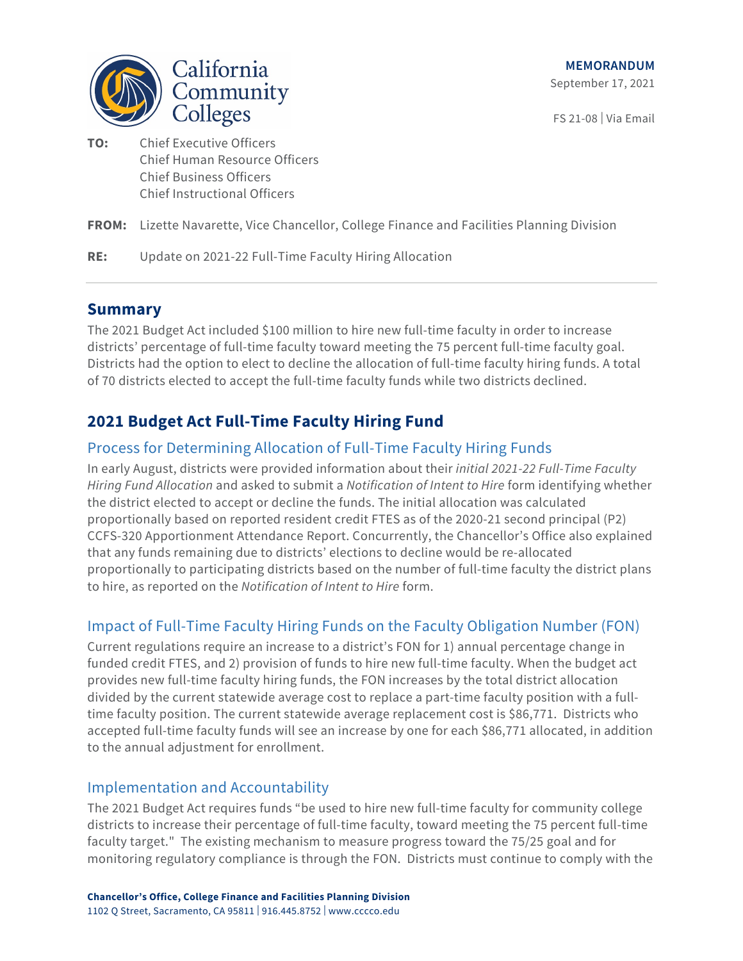

 **MEMORANDUM** September 17, 2021

FS 21-08 | Via Email

**TO:** Chief Executive Officers Chief Human Resource Officers Chief Business Officers Chief Instructional Officers

#### **FROM:** Lizette Navarette, Vice Chancellor, College Finance and Facilities Planning Division

#### **RE:** Update on 2021-22 Full-Time Faculty Hiring Allocation

#### **Summary**

The 2021 Budget Act included \$100 million to hire new full-time faculty in order to increase districts' percentage of full-time faculty toward meeting the 75 percent full-time faculty goal. Districts had the option to elect to decline the allocation of full-time faculty hiring funds. A total of 70 districts elected to accept the full-time faculty funds while two districts declined.

### **2021 Budget Act Full-Time Faculty Hiring Fund**

#### Process for Determining Allocation of Full-Time Faculty Hiring Funds

In early August, districts were provided information about their *initial 2021-22 Full-Time Faculty Hiring Fund Allocation* and asked to submit a *Notification of Intent to Hire* form identifying whether the district elected to accept or decline the funds. The initial allocation was calculated proportionally based on reported resident credit FTES as of the 2020-21 second principal (P2) CCFS-320 Apportionment Attendance Report. Concurrently, the Chancellor's Office also explained that any funds remaining due to districts' elections to decline would be re-allocated proportionally to participating districts based on the number of full-time faculty the district plans to hire, as reported on the *Notification of Intent to Hire* form.

#### Impact of Full-Time Faculty Hiring Funds on the Faculty Obligation Number (FON)

Current regulations require an increase to a district's FON for 1) annual percentage change in funded credit FTES, and 2) provision of funds to hire new full-time faculty. When the budget act provides new full-time faculty hiring funds, the FON increases by the total district allocation divided by the current statewide average cost to replace a part-time faculty position with a fulltime faculty position. The current statewide average replacement cost is \$86,771. Districts who accepted full-time faculty funds will see an increase by one for each \$86,771 allocated, in addition to the annual adjustment for enrollment.

#### Implementation and Accountability

The 2021 Budget Act requires funds "be used to hire new full-time faculty for community college districts to increase their percentage of full-time faculty, toward meeting the 75 percent full-time faculty target." The existing mechanism to measure progress toward the 75/25 goal and for monitoring regulatory compliance is through the FON. Districts must continue to comply with the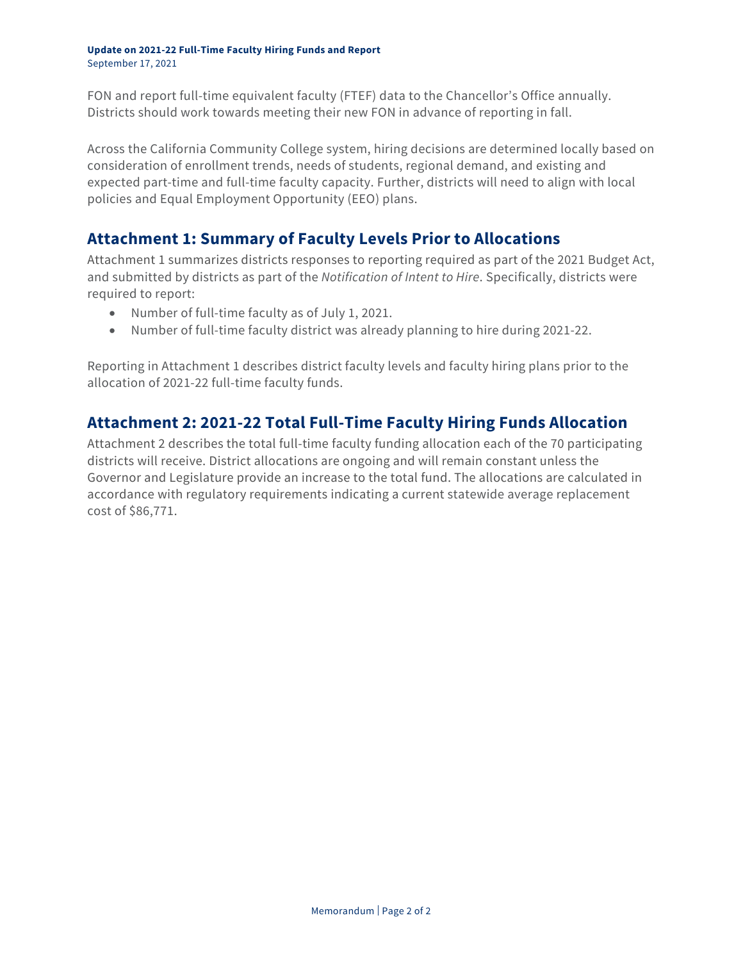FON and report full-time equivalent faculty (FTEF) data to the Chancellor's Office annually. Districts should work towards meeting their new FON in advance of reporting in fall.

Across the California Community College system, hiring decisions are determined locally based on consideration of enrollment trends, needs of students, regional demand, and existing and expected part-time and full-time faculty capacity. Further, districts will need to align with local policies and Equal Employment Opportunity (EEO) plans.

#### **Attachment 1: Summary of Faculty Levels Prior to Allocations**

Attachment 1 summarizes districts responses to reporting required as part of the 2021 Budget Act, and submitted by districts as part of the *Notification of Intent to Hire*. Specifically, districts were required to report:

- Number of full-time faculty as of July 1, 2021.
- Number of full-time faculty district was already planning to hire during 2021-22.

Reporting in Attachment 1 describes district faculty levels and faculty hiring plans prior to the allocation of 2021-22 full-time faculty funds.

#### **Attachment 2: 2021-22 Total Full-Time Faculty Hiring Funds Allocation**

Attachment 2 describes the total full-time faculty funding allocation each of the 70 participating districts will receive. District allocations are ongoing and will remain constant unless the Governor and Legislature provide an increase to the total fund. The allocations are calculated in accordance with regulatory requirements indicating a current statewide average replacement cost of \$86,771.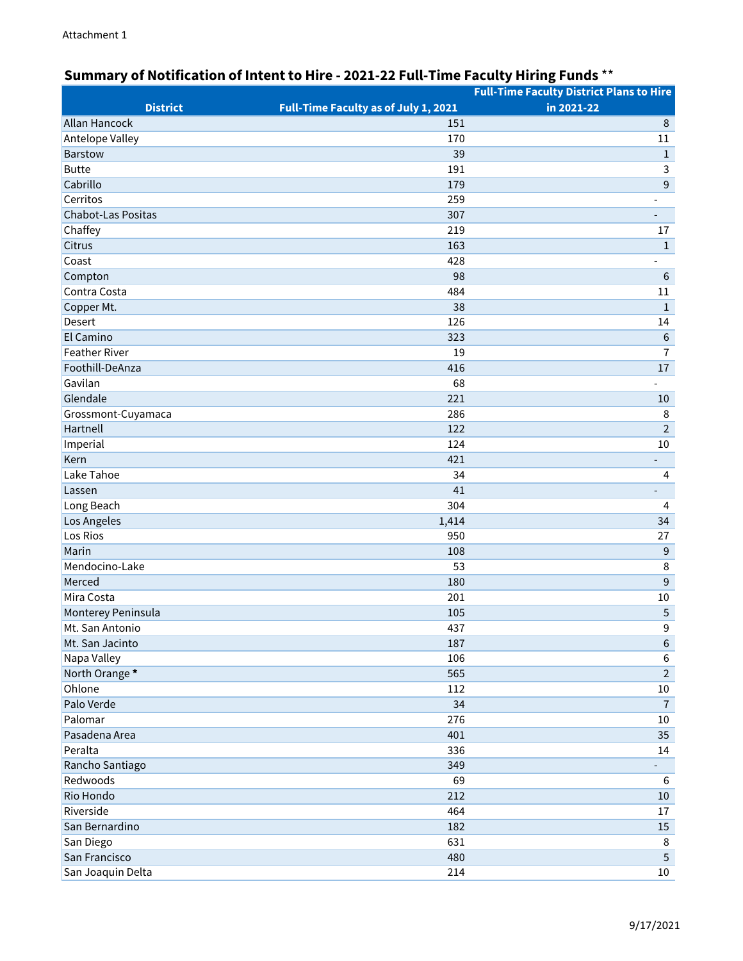## **Summary of Notification of Intent to Hire - 2021-22 Full-Time Faculty Hiring Funds** \*\*

|                          |                                      | <b>Full-Time Faculty District Plans to Hire</b> |
|--------------------------|--------------------------------------|-------------------------------------------------|
| <b>District</b>          | Full-Time Faculty as of July 1, 2021 | in 2021-22                                      |
| <b>Allan Hancock</b>     | 151                                  | 8                                               |
| Antelope Valley          | 170                                  | $11\,$                                          |
| Barstow                  | 39                                   | $\,1\,$                                         |
| <b>Butte</b>             | 191                                  | $\mathsf 3$                                     |
| Cabrillo                 | 179                                  | $9\,$                                           |
| Cerritos                 | 259                                  | $\overline{a}$                                  |
| Chabot-Las Positas       | 307                                  | $\overline{\phantom{a}}$                        |
| Chaffey                  | 219                                  | 17                                              |
| Citrus                   | 163                                  | $1\,$                                           |
| Coast                    | 428                                  | $\overline{a}$                                  |
| Compton                  | 98                                   | $\sqrt{6}$                                      |
| Contra Costa             | 484                                  | $11\,$                                          |
| Copper Mt.               | 38                                   | $\,1\,$                                         |
| Desert                   | 126                                  | 14                                              |
| El Camino                | 323                                  | $\sqrt{6}$                                      |
| <b>Feather River</b>     | 19                                   | $\overline{7}$                                  |
| Foothill-DeAnza          | 416                                  | 17                                              |
| Gavilan                  | 68                                   |                                                 |
| Glendale                 | 221                                  | 10                                              |
| Grossmont-Cuyamaca       | 286                                  | 8                                               |
| Hartnell                 | 122                                  | $\sqrt{2}$                                      |
| Imperial                 | 124                                  | $10\,$                                          |
| Kern                     | 421                                  | $\overline{\phantom{a}}$                        |
| Lake Tahoe               | 34                                   | $\overline{\mathcal{A}}$                        |
| Lassen                   | 41                                   | $\overline{\phantom{a}}$                        |
| Long Beach               | 304                                  | 4                                               |
| Los Angeles              | 1,414                                | 34                                              |
| Los Rios                 | 950                                  | 27                                              |
| Marin                    | 108                                  | $\boldsymbol{9}$                                |
| Mendocino-Lake           | 53                                   | 8                                               |
| Merced                   | 180                                  | $9$                                             |
| Mira Costa               | 201                                  | $10\,$                                          |
| Monterey Peninsula       | 105                                  | 5                                               |
| Mt. San Antonio          | 437                                  | 9                                               |
| Mt. San Jacinto          | 187                                  | $\,6\,$                                         |
|                          |                                      |                                                 |
| Napa Valley              | 106                                  | $\,6$<br>$\overline{2}$                         |
| North Orange *<br>Ohlone | 565                                  |                                                 |
|                          | 112                                  | $10\,$                                          |
| Palo Verde               | 34                                   | $\overline{7}$                                  |
| Palomar                  | 276                                  | $10\,$                                          |
| Pasadena Area            | 401                                  | 35                                              |
| Peralta                  | 336                                  | $14\,$                                          |
| Rancho Santiago          | 349                                  | $\overline{a}$                                  |
| Redwoods                 | 69                                   | 6                                               |
| Rio Hondo                | 212                                  | $10\,$                                          |
| Riverside                | 464                                  | 17                                              |
| San Bernardino           | 182                                  | 15                                              |
| San Diego                | 631                                  | 8                                               |
| San Francisco            | 480                                  | 5                                               |
| San Joaquin Delta        | 214                                  | 10                                              |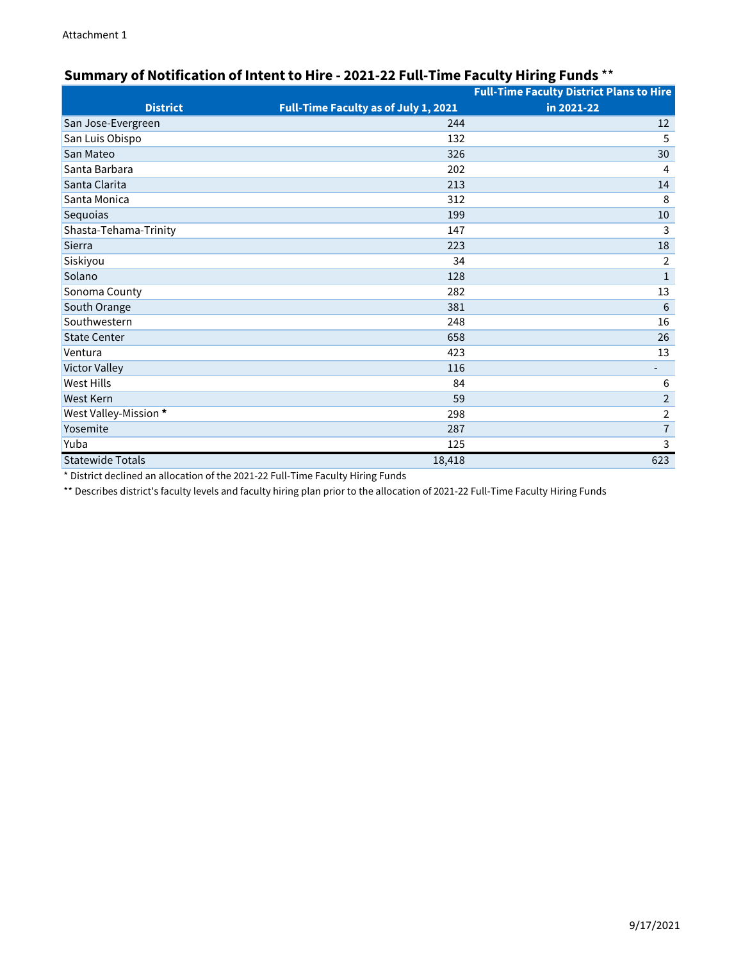## **Summary of Notification of Intent to Hire - 2021-22 Full-Time Faculty Hiring Funds** \*\*

|                         |                                      | <b>Full-Time Faculty District Plans to Hire</b> |
|-------------------------|--------------------------------------|-------------------------------------------------|
| <b>District</b>         | Full-Time Faculty as of July 1, 2021 | in 2021-22                                      |
| San Jose-Evergreen      | 244                                  | 12                                              |
| San Luis Obispo         | 132                                  | 5                                               |
| San Mateo               | 326                                  | 30                                              |
| Santa Barbara           | 202                                  | 4                                               |
| Santa Clarita           | 213                                  | 14                                              |
| Santa Monica            | 312                                  | 8                                               |
| Sequoias                | 199                                  | 10                                              |
| Shasta-Tehama-Trinity   | 147                                  | 3                                               |
| Sierra                  | 223                                  | 18                                              |
| Siskiyou                | 34                                   | $\overline{2}$                                  |
| Solano                  | 128                                  | $\mathbf{1}$                                    |
| Sonoma County           | 282                                  | 13                                              |
| South Orange            | 381                                  | 6                                               |
| Southwestern            | 248                                  | 16                                              |
| <b>State Center</b>     | 658                                  | 26                                              |
| Ventura                 | 423                                  | 13                                              |
| <b>Victor Valley</b>    | 116                                  | -                                               |
| <b>West Hills</b>       | 84                                   | 6                                               |
| <b>West Kern</b>        | 59                                   | $\overline{2}$                                  |
| West Valley-Mission *   | 298                                  | $\overline{2}$                                  |
| Yosemite                | 287                                  | $\overline{7}$                                  |
| Yuba                    | 125                                  | 3                                               |
| <b>Statewide Totals</b> | 18,418                               | 623                                             |

\* District declined an allocation of the 2021-22 Full-Time Faculty Hiring Funds

\*\* Describes district's faculty levels and faculty hiring plan prior to the allocation of 2021-22 Full-Time Faculty Hiring Funds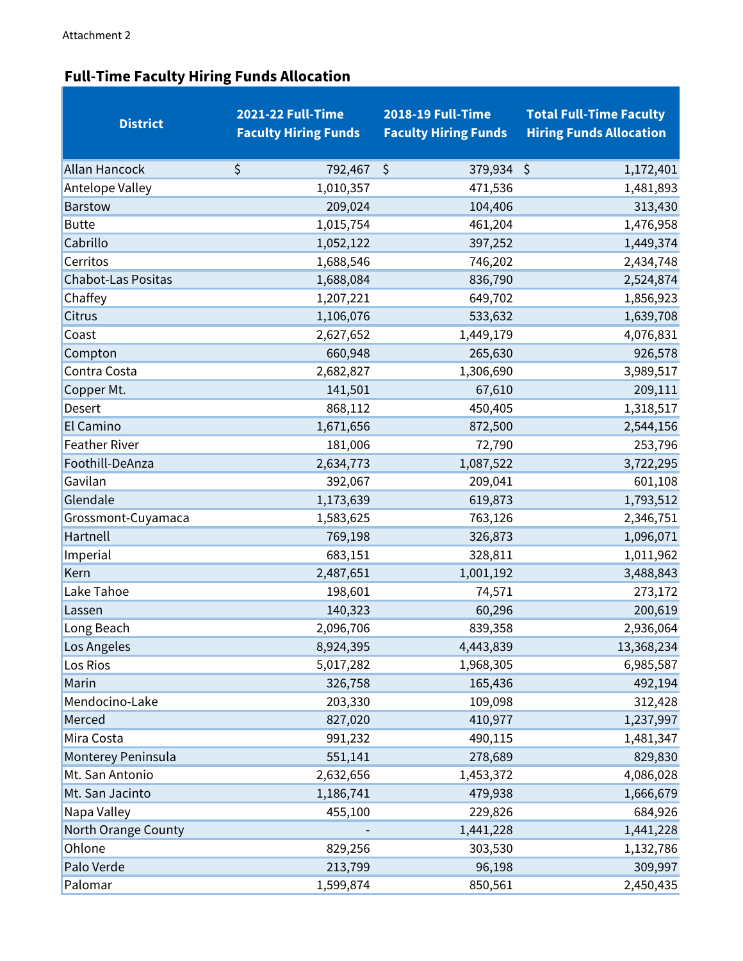# **Full-Time Faculty Hiring Funds Allocation**

| <b>District</b>      | <b>2021-22 Full-Time</b><br><b>Faculty Hiring Funds</b> | <b>2018-19 Full-Time</b><br><b>Faculty Hiring Funds</b> | <b>Total Full-Time Faculty</b><br><b>Hiring Funds Allocation</b> |
|----------------------|---------------------------------------------------------|---------------------------------------------------------|------------------------------------------------------------------|
| <b>Allan Hancock</b> | \$<br>792,467                                           | \$<br>379,934                                           | $\zeta$<br>1,172,401                                             |
| Antelope Valley      | 1,010,357                                               | 471,536                                                 | 1,481,893                                                        |
| <b>Barstow</b>       | 209,024                                                 | 104,406                                                 | 313,430                                                          |
| <b>Butte</b>         | 1,015,754                                               | 461,204                                                 | 1,476,958                                                        |
| Cabrillo             | 1,052,122                                               | 397,252                                                 | 1,449,374                                                        |
| Cerritos             | 1,688,546                                               | 746,202                                                 | 2,434,748                                                        |
| Chabot-Las Positas   | 1,688,084                                               | 836,790                                                 | 2,524,874                                                        |
| Chaffey              | 1,207,221                                               | 649,702                                                 | 1,856,923                                                        |
| Citrus               | 1,106,076                                               | 533,632                                                 | 1,639,708                                                        |
| Coast                | 2,627,652                                               | 1,449,179                                               | 4,076,831                                                        |
| Compton              | 660,948                                                 | 265,630                                                 | 926,578                                                          |
| Contra Costa         | 2,682,827                                               | 1,306,690                                               | 3,989,517                                                        |
| Copper Mt.           | 141,501                                                 | 67,610                                                  | 209,111                                                          |
| Desert               | 868,112                                                 | 450,405                                                 | 1,318,517                                                        |
| El Camino            | 1,671,656                                               | 872,500                                                 | 2,544,156                                                        |
| <b>Feather River</b> | 181,006                                                 | 72,790                                                  | 253,796                                                          |
| Foothill-DeAnza      | 2,634,773                                               | 1,087,522                                               | 3,722,295                                                        |
| Gavilan              | 392,067                                                 | 209,041                                                 | 601,108                                                          |
| Glendale             | 1,173,639                                               | 619,873                                                 | 1,793,512                                                        |
| Grossmont-Cuyamaca   | 1,583,625                                               | 763,126                                                 | 2,346,751                                                        |
| Hartnell             | 769,198                                                 | 326,873                                                 | 1,096,071                                                        |
| Imperial             | 683,151                                                 | 328,811                                                 | 1,011,962                                                        |
| Kern                 | 2,487,651                                               | 1,001,192                                               | 3,488,843                                                        |
| Lake Tahoe           | 198,601                                                 | 74,571                                                  | 273,172                                                          |
| Lassen               | 140,323                                                 | 60,296                                                  | 200,619                                                          |
| Long Beach           | 2,096,706                                               | 839,358                                                 | 2,936,064                                                        |
| Los Angeles          | 8,924,395                                               | 4,443,839                                               | 13,368,234                                                       |
| Los Rios             | 5,017,282                                               | 1,968,305                                               | 6,985,587                                                        |
| Marin                | 326,758                                                 | 165,436                                                 | 492,194                                                          |
| Mendocino-Lake       | 203,330                                                 | 109,098                                                 | 312,428                                                          |
| Merced               | 827,020                                                 | 410,977                                                 | 1,237,997                                                        |
| Mira Costa           | 991,232                                                 | 490,115                                                 | 1,481,347                                                        |
| Monterey Peninsula   | 551,141                                                 | 278,689                                                 | 829,830                                                          |
| Mt. San Antonio      | 2,632,656                                               | 1,453,372                                               | 4,086,028                                                        |
| Mt. San Jacinto      | 1,186,741                                               | 479,938                                                 | 1,666,679                                                        |
| Napa Valley          | 455,100                                                 | 229,826                                                 | 684,926                                                          |
| North Orange County  |                                                         | 1,441,228                                               | 1,441,228                                                        |
| Ohlone               | 829,256                                                 | 303,530                                                 | 1,132,786                                                        |
| Palo Verde           | 213,799                                                 | 96,198                                                  | 309,997                                                          |
| Palomar              | 1,599,874                                               | 850,561                                                 | 2,450,435                                                        |